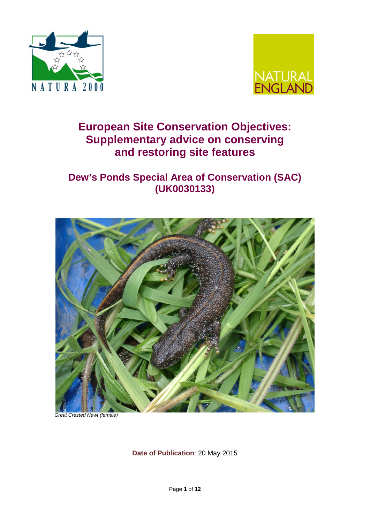



# **European Site Conservation Objectives: Supplementary advice on conserving and restoring site features**

# **Dew's Ponds Special Area of Conservation (SAC) (UK0030133)**



 *Great Crested Newt (female)*

**Date of Publication**: 20 May 2015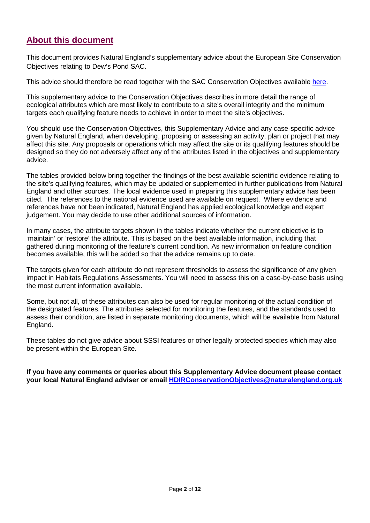## **About this document**

This document provides Natural England's supplementary advice about the European Site Conservation Objectives relating to Dew's Pond SAC.

This advice should therefore be read together with the SAC Conservation Objectives available [here.](http://publications.naturalengland.org.uk/publication/6294869702082560)

This supplementary advice to the Conservation Objectives describes in more detail the range of ecological attributes which are most likely to contribute to a site's overall integrity and the minimum targets each qualifying feature needs to achieve in order to meet the site's objectives.

You should use the Conservation Objectives, this Supplementary Advice and any case-specific advice given by Natural England, when developing, proposing or assessing an activity, plan or project that may affect this site. Any proposals or operations which may affect the site or its qualifying features should be designed so they do not adversely affect any of the attributes listed in the objectives and supplementary advice.

The tables provided below bring together the findings of the best available scientific evidence relating to the site's qualifying features, which may be updated or supplemented in further publications from Natural England and other sources. The local evidence used in preparing this supplementary advice has been cited. The references to the national evidence used are available on request. Where evidence and references have not been indicated, Natural England has applied ecological knowledge and expert judgement. You may decide to use other additional sources of information.

In many cases, the attribute targets shown in the tables indicate whether the current objective is to 'maintain' or 'restore' the attribute. This is based on the best available information, including that gathered during monitoring of the feature's current condition. As new information on feature condition becomes available, this will be added so that the advice remains up to date.

The targets given for each attribute do not represent thresholds to assess the significance of any given impact in Habitats Regulations Assessments. You will need to assess this on a case-by-case basis using the most current information available.

Some, but not all, of these attributes can also be used for regular monitoring of the actual condition of the designated features. The attributes selected for monitoring the features, and the standards used to assess their condition, are listed in separate monitoring documents, which will be available from Natural England.

These tables do not give advice about SSSI features or other legally protected species which may also be present within the European Site.

**If you have any comments or queries about this Supplementary Advice document please contact your local Natural England adviser or email [HDIRConservationObjectives@naturalengland.org.uk](mailto:HDIRConservationObjectives@naturalengland.org.uk)**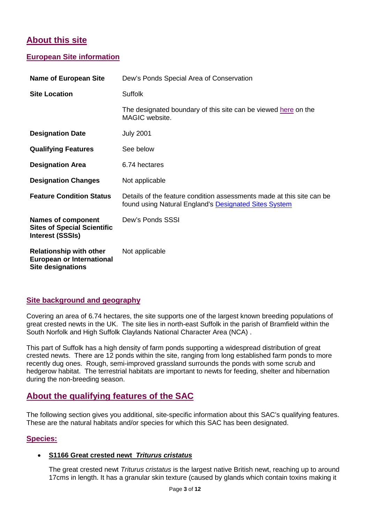## **About this site**

### **European Site information**

| <b>Name of European Site</b>                                                                   | Dew's Ponds Special Area of Conservation                                                                                       |  |  |
|------------------------------------------------------------------------------------------------|--------------------------------------------------------------------------------------------------------------------------------|--|--|
| <b>Site Location</b>                                                                           | <b>Suffolk</b>                                                                                                                 |  |  |
|                                                                                                | The designated boundary of this site can be viewed here on the<br>MAGIC website.                                               |  |  |
| <b>Designation Date</b>                                                                        | <b>July 2001</b>                                                                                                               |  |  |
| <b>Qualifying Features</b>                                                                     | See below                                                                                                                      |  |  |
| <b>Designation Area</b>                                                                        | 6.74 hectares                                                                                                                  |  |  |
| <b>Designation Changes</b>                                                                     | Not applicable                                                                                                                 |  |  |
| <b>Feature Condition Status</b>                                                                | Details of the feature condition assessments made at this site can be<br>found using Natural England's Designated Sites System |  |  |
| <b>Names of component</b><br><b>Sites of Special Scientific</b><br><b>Interest (SSSIs)</b>     | Dew's Ponds SSSI                                                                                                               |  |  |
| <b>Relationship with other</b><br><b>European or International</b><br><b>Site designations</b> | Not applicable                                                                                                                 |  |  |

### **Site background and geography**

Covering an area of 6.74 hectares, the site supports one of the largest known breeding populations of great crested newts in the UK. The site lies in north-east Suffolk in the parish of Bramfield within the South Norfolk and High Suffolk Claylands National Character Area (NCA) .

This part of Suffolk has a high density of farm ponds supporting a widespread distribution of great crested newts. There are 12 ponds within the site, ranging from long established farm ponds to more recently dug ones. Rough, semi-improved grassland surrounds the ponds with some scrub and hedgerow habitat. The terrestrial habitats are important to newts for feeding, shelter and hibernation during the non-breeding season.

## **About the qualifying features of the SAC**

The following section gives you additional, site-specific information about this SAC's qualifying features. These are the natural habitats and/or species for which this SAC has been designated.

#### **Species:**

#### • **S1166 Great crested newt** *Triturus cristatus*

The great crested newt *Triturus cristatus* is the largest native British newt, reaching up to around 17cms in length. It has a granular skin texture (caused by glands which contain toxins making it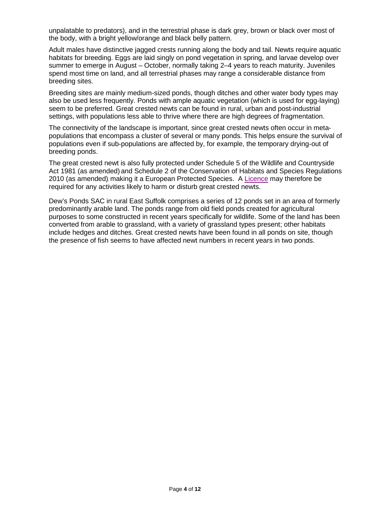unpalatable to predators), and in the terrestrial phase is dark grey, brown or black over most of the body, with a bright yellow/orange and black belly pattern.

Adult males have distinctive jagged crests running along the body and tail. Newts require aquatic habitats for breeding. Eggs are laid singly on pond vegetation in spring, and larvae develop over summer to emerge in August – October, normally taking 2–4 years to reach maturity. Juveniles spend most time on land, and all terrestrial phases may range a considerable distance from breeding sites.

Breeding sites are mainly medium-sized ponds, though ditches and other water body types may also be used less frequently. Ponds with ample aquatic vegetation (which is used for egg-laying) seem to be preferred. Great crested newts can be found in rural, urban and post-industrial settings, with populations less able to thrive where there are high degrees of fragmentation.

The connectivity of the landscape is important, since great crested newts often occur in metapopulations that encompass a cluster of several or many ponds. This helps ensure the survival of populations even if sub-populations are affected by, for example, the temporary drying-out of breeding ponds.

The great crested newt is also fully protected under Schedule 5 of the Wildlife and Countryside Act 1981 (as amended) and Schedule 2 of the Conservation of Habitats and Species Regulations 2010 (as amended), making it a European Protected Species. A [Licence](http://www.naturalengland.org.uk/ourwork/regulation/wildlife/default.aspx) may therefore be required for any activities likely to harm or disturb great crested newts.

Dew's Ponds SAC in rural East Suffolk comprises a series of 12 ponds set in an area of formerly predominantly arable land. The ponds range from old field ponds created for agricultural purposes to some constructed in recent years specifically for wildlife. Some of the land has been converted from arable to grassland, with a variety of grassland types present; other habitats include hedges and ditches. Great crested newts have been found in all ponds on site, though the presence of fish seems to have affected newt numbers in recent years in two ponds.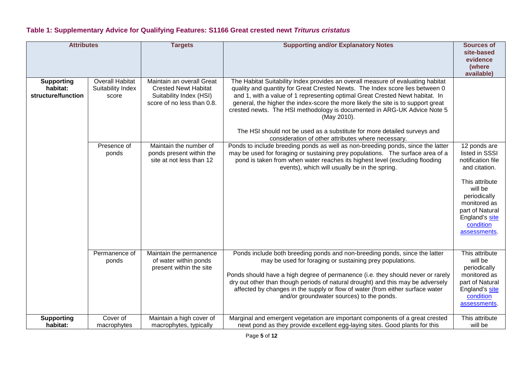### **Table 1: Supplementary Advice for Qualifying Features: S1166 Great crested newt** *Triturus cristatus*

| <b>Attributes</b>                                   |                                                      | <b>Targets</b>                                                                                                    | <b>Supporting and/or Explanatory Notes</b>                                                                                                                                                                                                                                                                                                                                                                                                                                                                                                                       | <b>Sources of</b><br>site-based<br>evidence<br>(where<br>available)                                                                                                                                 |
|-----------------------------------------------------|------------------------------------------------------|-------------------------------------------------------------------------------------------------------------------|------------------------------------------------------------------------------------------------------------------------------------------------------------------------------------------------------------------------------------------------------------------------------------------------------------------------------------------------------------------------------------------------------------------------------------------------------------------------------------------------------------------------------------------------------------------|-----------------------------------------------------------------------------------------------------------------------------------------------------------------------------------------------------|
| <b>Supporting</b><br>habitat:<br>structure/function | <b>Overall Habitat</b><br>Suitability Index<br>score | Maintain an overall Great<br><b>Crested Newt Habitat</b><br>Suitability Index (HSI)<br>score of no less than 0.8. | The Habitat Suitability Index provides an overall measure of evaluating habitat<br>quality and quantity for Great Crested Newts. The Index score lies between 0<br>and 1, with a value of 1 representing optimal Great Crested Newt habitat. In<br>general, the higher the index-score the more likely the site is to support great<br>crested newts. The HSI methodology is documented in ARG-UK Advice Note 5<br>(May 2010).<br>The HSI should not be used as a substitute for more detailed surveys and<br>consideration of other attributes where necessary. |                                                                                                                                                                                                     |
|                                                     | Presence of<br>ponds                                 | Maintain the number of<br>ponds present within the<br>site at not less than 12                                    | Ponds to include breeding ponds as well as non-breeding ponds, since the latter<br>may be used for foraging or sustaining prey populations. The surface area of a<br>pond is taken from when water reaches its highest level (excluding flooding<br>events), which will usually be in the spring.                                                                                                                                                                                                                                                                | 12 ponds are<br>listed in SSSI<br>notification file<br>and citation.<br>This attribute<br>will be<br>periodically<br>monitored as<br>part of Natural<br>England's site<br>condition<br>assessments. |
|                                                     | Permanence of<br>ponds                               | Maintain the permanence<br>of water within ponds<br>present within the site                                       | Ponds include both breeding ponds and non-breeding ponds, since the latter<br>may be used for foraging or sustaining prey populations.<br>Ponds should have a high degree of permanence (i.e. they should never or rarely<br>dry out other than though periods of natural drought) and this may be adversely<br>affected by changes in the supply or flow of water (from either surface water<br>and/or groundwater sources) to the ponds.                                                                                                                       | This attribute<br>will be<br>periodically<br>monitored as<br>part of Natural<br>England's site<br>condition<br>assessments.                                                                         |
| <b>Supporting</b><br>habitat:                       | Cover of<br>macrophytes                              | Maintain a high cover of<br>macrophytes, typically                                                                | Marginal and emergent vegetation are important components of a great crested<br>newt pond as they provide excellent egg-laying sites. Good plants for this                                                                                                                                                                                                                                                                                                                                                                                                       | This attribute<br>will be                                                                                                                                                                           |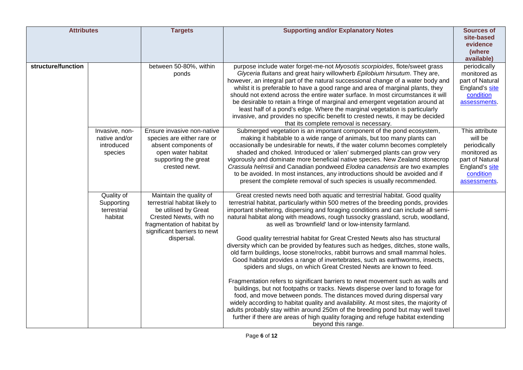| <b>Attributes</b>  |                                                          | <b>Targets</b>                                                                                                                                                                          | <b>Supporting and/or Explanatory Notes</b>                                                                                                                                                                                                                                                                                                                                                                                                                                                                                                                                                                                                                                                                                                                                                                                                                                                                                                                                                                                                                                                                                                                                                                                                                                                                                                              | <b>Sources of</b><br>site-based<br>evidence<br>(where<br>available)                                                         |
|--------------------|----------------------------------------------------------|-----------------------------------------------------------------------------------------------------------------------------------------------------------------------------------------|---------------------------------------------------------------------------------------------------------------------------------------------------------------------------------------------------------------------------------------------------------------------------------------------------------------------------------------------------------------------------------------------------------------------------------------------------------------------------------------------------------------------------------------------------------------------------------------------------------------------------------------------------------------------------------------------------------------------------------------------------------------------------------------------------------------------------------------------------------------------------------------------------------------------------------------------------------------------------------------------------------------------------------------------------------------------------------------------------------------------------------------------------------------------------------------------------------------------------------------------------------------------------------------------------------------------------------------------------------|-----------------------------------------------------------------------------------------------------------------------------|
| structure/function |                                                          | between 50-80%, within<br>ponds                                                                                                                                                         | purpose include water forget-me-not Myosotis scorpioides, flote/sweet grass<br>Glyceria fluitans and great hairy willowherb Epilobium hirsutum. They are,<br>however, an integral part of the natural successional change of a water body and<br>whilst it is preferable to have a good range and area of marginal plants, they<br>should not extend across the entire water surface. In most circumstances it will<br>be desirable to retain a fringe of marginal and emergent vegetation around at<br>least half of a pond's edge. Where the marginal vegetation is particularly<br>invasive, and provides no specific benefit to crested newts, it may be decided<br>that its complete removal is necessary.                                                                                                                                                                                                                                                                                                                                                                                                                                                                                                                                                                                                                                         | periodically<br>monitored as<br>part of Natural<br>England's site<br>condition<br>assessments.                              |
|                    | Invasive, non-<br>native and/or<br>introduced<br>species | Ensure invasive non-native<br>species are either rare or<br>absent components of<br>open water habitat<br>supporting the great<br>crested newt.                                         | Submerged vegetation is an important component of the pond ecosystem,<br>making it habitable to a wide range of animals, but too many plants can<br>occasionally be undesirable for newts, if the water column becomes completely<br>shaded and choked. Introduced or 'alien' submerged plants can grow very<br>vigorously and dominate more beneficial native species. New Zealand stonecrop<br>Crassula helmsii and Canadian pondweed Elodea canadensis are two examples<br>to be avoided. In most instances, any introductions should be avoided and if<br>present the complete removal of such species is usually recommended.                                                                                                                                                                                                                                                                                                                                                                                                                                                                                                                                                                                                                                                                                                                      | This attribute<br>will be<br>periodically<br>monitored as<br>part of Natural<br>England's site<br>condition<br>assessments. |
|                    | Quality of<br>Supporting<br>terrestrial<br>habitat       | Maintain the quality of<br>terrestrial habitat likely to<br>be utilised by Great<br>Crested Newts, with no<br>fragmentation of habitat by<br>significant barriers to newt<br>dispersal. | Great crested newts need both aquatic and terrestrial habitat. Good quality<br>terrestrial habitat, particularly within 500 metres of the breeding ponds, provides<br>important sheltering, dispersing and foraging conditions and can include all semi-<br>natural habitat along with meadows, rough tussocky grassland, scrub, woodland,<br>as well as 'brownfield' land or low-intensity farmland.<br>Good quality terrestrial habitat for Great Crested Newts also has structural<br>diversity which can be provided by features such as hedges, ditches, stone walls,<br>old farm buildings, loose stone/rocks, rabbit burrows and small mammal holes.<br>Good habitat provides a range of invertebrates, such as earthworms, insects,<br>spiders and slugs, on which Great Crested Newts are known to feed.<br>Fragmentation refers to significant barriers to newt movement such as walls and<br>buildings, but not footpaths or tracks. Newts disperse over land to forage for<br>food, and move between ponds. The distances moved during dispersal vary<br>widely according to habitat quality and availability. At most sites, the majority of<br>adults probably stay within around 250m of the breeding pond but may well travel<br>further if there are areas of high quality foraging and refuge habitat extending<br>beyond this range. |                                                                                                                             |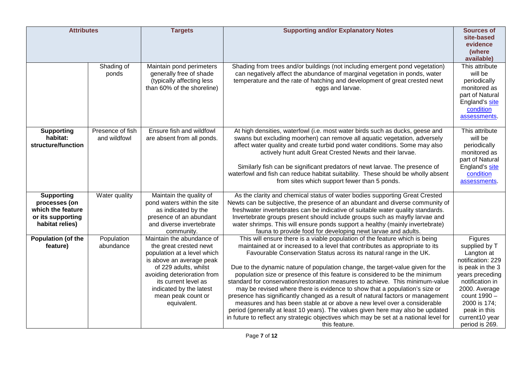| <b>Attributes</b>                                                                               |                                  | <b>Targets</b>                                                                                                                                                                                                                                                 | <b>Supporting and/or Explanatory Notes</b>                                                                                                                                                                                                                                                                                                                                                                                                                                                                                                                                                                                                                                                                                                                                                                                                                                                                                     | <b>Sources of</b>                                                                                                                                                                                                          |
|-------------------------------------------------------------------------------------------------|----------------------------------|----------------------------------------------------------------------------------------------------------------------------------------------------------------------------------------------------------------------------------------------------------------|--------------------------------------------------------------------------------------------------------------------------------------------------------------------------------------------------------------------------------------------------------------------------------------------------------------------------------------------------------------------------------------------------------------------------------------------------------------------------------------------------------------------------------------------------------------------------------------------------------------------------------------------------------------------------------------------------------------------------------------------------------------------------------------------------------------------------------------------------------------------------------------------------------------------------------|----------------------------------------------------------------------------------------------------------------------------------------------------------------------------------------------------------------------------|
|                                                                                                 |                                  |                                                                                                                                                                                                                                                                |                                                                                                                                                                                                                                                                                                                                                                                                                                                                                                                                                                                                                                                                                                                                                                                                                                                                                                                                | site-based<br>evidence<br>(where<br>available)                                                                                                                                                                             |
|                                                                                                 | Shading of<br>ponds              | Maintain pond perimeters<br>generally free of shade<br>(typically affecting less<br>than 60% of the shoreline)                                                                                                                                                 | Shading from trees and/or buildings (not including emergent pond vegetation)<br>can negatively affect the abundance of marginal vegetation in ponds, water<br>temperature and the rate of hatching and development of great crested newt<br>eggs and larvae.                                                                                                                                                                                                                                                                                                                                                                                                                                                                                                                                                                                                                                                                   | This attribute<br>will be<br>periodically<br>monitored as<br>part of Natural<br>England's site<br>condition<br>assessments.                                                                                                |
| <b>Supporting</b><br>habitat:<br>structure/function                                             | Presence of fish<br>and wildfowl | Ensure fish and wildfowl<br>are absent from all ponds.                                                                                                                                                                                                         | At high densities, waterfowl (i.e. most water birds such as ducks, geese and<br>swans but excluding moorhen) can remove all aquatic vegetation, adversely<br>affect water quality and create turbid pond water conditions. Some may also<br>actively hunt adult Great Crested Newts and their larvae.<br>Similarly fish can be significant predators of newt larvae. The presence of<br>waterfowl and fish can reduce habitat suitability. These should be wholly absent<br>from sites which support fewer than 5 ponds.                                                                                                                                                                                                                                                                                                                                                                                                       | This attribute<br>will be<br>periodically<br>monitored as<br>part of Natural<br>England's site<br>condition<br>assessments.                                                                                                |
| <b>Supporting</b><br>processes (on<br>which the feature<br>or its supporting<br>habitat relies) | Water quality                    | Maintain the quality of<br>pond waters within the site<br>as indicated by the<br>presence of an abundant<br>and diverse invertebrate<br>community.                                                                                                             | As the clarity and chemical status of water bodies supporting Great Crested<br>Newts can be subjective, the presence of an abundant and diverse community of<br>freshwater invertebrates can be indicative of suitable water quality standards.<br>Invertebrate groups present should include groups such as mayfly larvae and<br>water shrimps. This will ensure ponds support a healthy (mainly invertebrate)<br>fauna to provide food for developing newt larvae and adults.                                                                                                                                                                                                                                                                                                                                                                                                                                                |                                                                                                                                                                                                                            |
| Population (of the<br>feature)                                                                  | Population<br>abundance          | Maintain the abundance of<br>the great crested newt<br>population at a level which<br>is above an average peak<br>of 229 adults, whilst<br>avoiding deterioration from<br>its current level as<br>indicated by the latest<br>mean peak count or<br>equivalent. | This will ensure there is a viable population of the feature which is being<br>maintained at or increased to a level that contributes as appropriate to its<br>Favourable Conservation Status across its natural range in the UK.<br>Due to the dynamic nature of population change, the target-value given for the<br>population size or presence of this feature is considered to be the minimum<br>standard for conservation/restoration measures to achieve. This minimum-value<br>may be revised where there is evidence to show that a population's size or<br>presence has significantly changed as a result of natural factors or management<br>measures and has been stable at or above a new level over a considerable<br>period (generally at least 10 years). The values given here may also be updated<br>in future to reflect any strategic objectives which may be set at a national level for<br>this feature. | Figures<br>supplied by T<br>Langton at<br>notification: 229<br>is peak in the 3<br>years preceding<br>notification in<br>2000. Average<br>count 1990 -<br>2000 is 174;<br>peak in this<br>current10 year<br>period is 269. |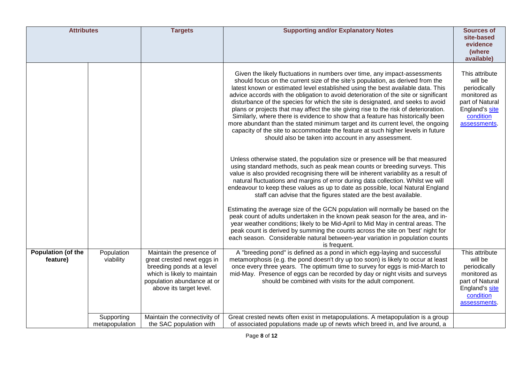| <b>Attributes</b>              |                              | <b>Targets</b>                                                                                                                                                              | <b>Supporting and/or Explanatory Notes</b>                                                                                                                                                                                                                                                                                                                                                                                                                                                                                                                                                                                                                                                                                                                                                                                          | <b>Sources of</b><br>site-based<br>evidence<br>(where<br>available)                                                         |
|--------------------------------|------------------------------|-----------------------------------------------------------------------------------------------------------------------------------------------------------------------------|-------------------------------------------------------------------------------------------------------------------------------------------------------------------------------------------------------------------------------------------------------------------------------------------------------------------------------------------------------------------------------------------------------------------------------------------------------------------------------------------------------------------------------------------------------------------------------------------------------------------------------------------------------------------------------------------------------------------------------------------------------------------------------------------------------------------------------------|-----------------------------------------------------------------------------------------------------------------------------|
|                                |                              |                                                                                                                                                                             | Given the likely fluctuations in numbers over time, any impact-assessments<br>should focus on the current size of the site's population, as derived from the<br>latest known or estimated level established using the best available data. This<br>advice accords with the obligation to avoid deterioration of the site or significant<br>disturbance of the species for which the site is designated, and seeks to avoid<br>plans or projects that may affect the site giving rise to the risk of deterioration.<br>Similarly, where there is evidence to show that a feature has historically been<br>more abundant than the stated minimum target and its current level, the ongoing<br>capacity of the site to accommodate the feature at such higher levels in future<br>should also be taken into account in any assessment. | This attribute<br>will be<br>periodically<br>monitored as<br>part of Natural<br>England's site<br>condition<br>assessments. |
|                                |                              |                                                                                                                                                                             | Unless otherwise stated, the population size or presence will be that measured<br>using standard methods, such as peak mean counts or breeding surveys. This<br>value is also provided recognising there will be inherent variability as a result of<br>natural fluctuations and margins of error during data collection. Whilst we will<br>endeavour to keep these values as up to date as possible, local Natural England<br>staff can advise that the figures stated are the best available.                                                                                                                                                                                                                                                                                                                                     |                                                                                                                             |
|                                |                              |                                                                                                                                                                             | Estimating the average size of the GCN population will normally be based on the<br>peak count of adults undertaken in the known peak season for the area, and in-<br>year weather conditions; likely to be Mid-April to Mid May in central areas. The<br>peak count is derived by summing the counts across the site on 'best' night for<br>each season. Considerable natural between-year variation in population counts<br>is frequent.                                                                                                                                                                                                                                                                                                                                                                                           |                                                                                                                             |
| Population (of the<br>feature) | Population<br>viability      | Maintain the presence of<br>great crested newt eggs in<br>breeding ponds at a level<br>which is likely to maintain<br>population abundance at or<br>above its target level. | A "breeding pond" is defined as a pond in which egg-laying and successful<br>metamorphosis (e.g. the pond doesn't dry up too soon) is likely to occur at least<br>once every three years. The optimum time to survey for eggs is mid-March to<br>mid-May. Presence of eggs can be recorded by day or night visits and surveys<br>should be combined with visits for the adult component.                                                                                                                                                                                                                                                                                                                                                                                                                                            | This attribute<br>will be<br>periodically<br>monitored as<br>part of Natural<br>England's site<br>condition<br>assessments. |
|                                | Supporting<br>metapopulation | Maintain the connectivity of<br>the SAC population with                                                                                                                     | Great crested newts often exist in metapopulations. A metapopulation is a group<br>of associated populations made up of newts which breed in, and live around, a                                                                                                                                                                                                                                                                                                                                                                                                                                                                                                                                                                                                                                                                    |                                                                                                                             |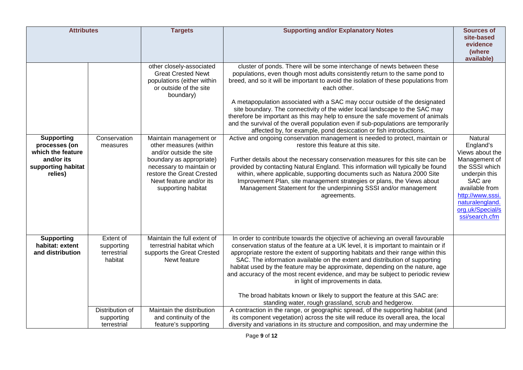| <b>Attributes</b>                                                                                      |                                                                      | <b>Targets</b>                                                                                                                                                                                                    | <b>Supporting and/or Explanatory Notes</b>                                                                                                                                                                                                                                                                                                                                                                                                                                                                                                                                                                                                                                                                                                                                   | <b>Sources of</b>                                                                                                                                                                                     |
|--------------------------------------------------------------------------------------------------------|----------------------------------------------------------------------|-------------------------------------------------------------------------------------------------------------------------------------------------------------------------------------------------------------------|------------------------------------------------------------------------------------------------------------------------------------------------------------------------------------------------------------------------------------------------------------------------------------------------------------------------------------------------------------------------------------------------------------------------------------------------------------------------------------------------------------------------------------------------------------------------------------------------------------------------------------------------------------------------------------------------------------------------------------------------------------------------------|-------------------------------------------------------------------------------------------------------------------------------------------------------------------------------------------------------|
|                                                                                                        |                                                                      |                                                                                                                                                                                                                   |                                                                                                                                                                                                                                                                                                                                                                                                                                                                                                                                                                                                                                                                                                                                                                              | site-based<br>evidence<br>(where<br>available)                                                                                                                                                        |
|                                                                                                        |                                                                      | other closely-associated<br><b>Great Crested Newt</b><br>populations (either within<br>or outside of the site<br>boundary)                                                                                        | cluster of ponds. There will be some interchange of newts between these<br>populations, even though most adults consistently return to the same pond to<br>breed, and so it will be important to avoid the isolation of these populations from<br>each other.<br>A metapopulation associated with a SAC may occur outside of the designated<br>site boundary. The connectivity of the wider local landscape to the SAC may<br>therefore be important as this may help to ensure the safe movement of animals<br>and the survival of the overall population even if sub-populations are temporarily<br>affected by, for example, pond desiccation or fish introductions.                                                                                                      |                                                                                                                                                                                                       |
| <b>Supporting</b><br>processes (on<br>which the feature<br>and/or its<br>supporting habitat<br>relies) | Conservation<br>measures                                             | Maintain management or<br>other measures (within<br>and/or outside the site<br>boundary as appropriate)<br>necessary to maintain or<br>restore the Great Crested<br>Newt feature and/or its<br>supporting habitat | Active and ongoing conservation management is needed to protect, maintain or<br>restore this feature at this site.<br>Further details about the necessary conservation measures for this site can be<br>provided by contacting Natural England. This information will typically be found<br>within, where applicable, supporting documents such as Natura 2000 Site<br>Improvement Plan, site management strategies or plans, the Views about<br>Management Statement for the underpinning SSSI and/or management<br>agreements.                                                                                                                                                                                                                                             | Natural<br>England's<br>Views about the<br>Management of<br>the SSSI which<br>underpin this<br>SAC are<br>available from<br>http://www.sssi.<br>naturalengland.<br>org.uk/Special/s<br>ssi/search.cfm |
| <b>Supporting</b><br>habitat: extent<br>and distribution                                               | Extent of<br>supporting<br>terrestrial<br>habitat<br>Distribution of | Maintain the full extent of<br>terrestrial habitat which<br>supports the Great Crested<br>Newt feature<br>Maintain the distribution                                                                               | In order to contribute towards the objective of achieving an overall favourable<br>conservation status of the feature at a UK level, it is important to maintain or if<br>appropriate restore the extent of supporting habitats and their range within this<br>SAC. The information available on the extent and distribution of supporting<br>habitat used by the feature may be approximate, depending on the nature, age<br>and accuracy of the most recent evidence, and may be subject to periodic review<br>in light of improvements in data.<br>The broad habitats known or likely to support the feature at this SAC are:<br>standing water, rough grassland, scrub and hedgerow.<br>A contraction in the range, or geographic spread, of the supporting habitat (and |                                                                                                                                                                                                       |
|                                                                                                        | supporting<br>terrestrial                                            | and continuity of the<br>feature's supporting                                                                                                                                                                     | its component vegetation) across the site will reduce its overall area, the local<br>diversity and variations in its structure and composition, and may undermine the                                                                                                                                                                                                                                                                                                                                                                                                                                                                                                                                                                                                        |                                                                                                                                                                                                       |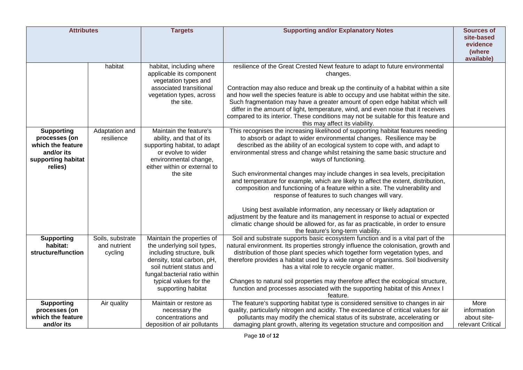| <b>Attributes</b>                  |                              | <b>Targets</b>                                                               | <b>Supporting and/or Explanatory Notes</b>                                                                                                                           | <b>Sources of</b><br>site-based  |
|------------------------------------|------------------------------|------------------------------------------------------------------------------|----------------------------------------------------------------------------------------------------------------------------------------------------------------------|----------------------------------|
|                                    |                              |                                                                              |                                                                                                                                                                      | evidence<br>(where<br>available) |
|                                    | habitat                      | habitat, including where<br>applicable its component<br>vegetation types and | resilience of the Great Crested Newt feature to adapt to future environmental<br>changes.                                                                            |                                  |
|                                    |                              | associated transitional                                                      | Contraction may also reduce and break up the continuity of a habitat within a site                                                                                   |                                  |
|                                    |                              | vegetation types, across<br>the site.                                        | and how well the species feature is able to occupy and use habitat within the site.<br>Such fragmentation may have a greater amount of open edge habitat which will  |                                  |
|                                    |                              |                                                                              | differ in the amount of light, temperature, wind, and even noise that it receives                                                                                    |                                  |
|                                    |                              |                                                                              | compared to its interior. These conditions may not be suitable for this feature and<br>this may affect its viability.                                                |                                  |
| <b>Supporting</b><br>processes (on | Adaptation and<br>resilience | Maintain the feature's<br>ability, and that of its                           | This recognises the increasing likelihood of supporting habitat features needing<br>to absorb or adapt to wider environmental changes. Resilience may be             |                                  |
| which the feature                  |                              | supporting habitat, to adapt                                                 | described as the ability of an ecological system to cope with, and adapt to                                                                                          |                                  |
| and/or its<br>supporting habitat   |                              | or evolve to wider<br>environmental change,                                  | environmental stress and change whilst retaining the same basic structure and<br>ways of functioning.                                                                |                                  |
| relies)                            |                              | either within or external to                                                 |                                                                                                                                                                      |                                  |
|                                    |                              | the site                                                                     | Such environmental changes may include changes in sea levels, precipitation                                                                                          |                                  |
|                                    |                              |                                                                              | and temperature for example, which are likely to affect the extent, distribution,<br>composition and functioning of a feature within a site. The vulnerability and   |                                  |
|                                    |                              |                                                                              | response of features to such changes will vary.                                                                                                                      |                                  |
|                                    |                              |                                                                              | Using best available information, any necessary or likely adaptation or                                                                                              |                                  |
|                                    |                              |                                                                              | adjustment by the feature and its management in response to actual or expected                                                                                       |                                  |
|                                    |                              |                                                                              | climatic change should be allowed for, as far as practicable, in order to ensure<br>the feature's long-term viability.                                               |                                  |
| <b>Supporting</b>                  | Soils, substrate             | Maintain the properties of                                                   | Soil and substrate supports basic ecosystem function and is a vital part of the                                                                                      |                                  |
| habitat:<br>structure/function     | and nutrient<br>cycling      | the underlying soil types,<br>including structure, bulk                      | natural environment. Its properties strongly influence the colonisation, growth and<br>distribution of those plant species which together form vegetation types, and |                                  |
|                                    |                              | density, total carbon, pH,                                                   | therefore provides a habitat used by a wide range of organisms. Soil biodiversity                                                                                    |                                  |
|                                    |                              | soil nutrient status and                                                     | has a vital role to recycle organic matter.                                                                                                                          |                                  |
|                                    |                              | fungal:bacterial ratio within                                                |                                                                                                                                                                      |                                  |
|                                    |                              | typical values for the<br>supporting habitat                                 | Changes to natural soil properties may therefore affect the ecological structure,<br>function and processes associated with the supporting habitat of this Annex I   |                                  |
|                                    |                              |                                                                              | feature.                                                                                                                                                             |                                  |
| <b>Supporting</b>                  | Air quality                  | Maintain or restore as                                                       | The feature's supporting habitat type is considered sensitive to changes in air                                                                                      | More                             |
| processes (on<br>which the feature |                              | necessary the<br>concentrations and                                          | quality, particularly nitrogen and acidity. The exceedance of critical values for air<br>pollutants may modify the chemical status of its substrate, accelerating or | information<br>about site-       |
| and/or its                         |                              | deposition of air pollutants                                                 | damaging plant growth, altering its vegetation structure and composition and                                                                                         | relevant Critical                |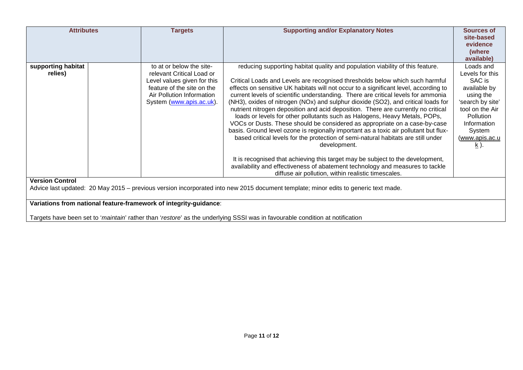| <b>Attributes</b>                                                                                                                                                                                 |  | <b>Targets</b>                                                                                                                                                              | <b>Supporting and/or Explanatory Notes</b>                                                                                                                                                                                                                                                                                                                                                                                                                                                                                                                                                                                                                                                                                                                                                                                                                                                                                                                                                                                                                                                              | <b>Sources of</b><br>site-based<br>evidence<br>(where<br>available)                                                                                                                                    |
|---------------------------------------------------------------------------------------------------------------------------------------------------------------------------------------------------|--|-----------------------------------------------------------------------------------------------------------------------------------------------------------------------------|---------------------------------------------------------------------------------------------------------------------------------------------------------------------------------------------------------------------------------------------------------------------------------------------------------------------------------------------------------------------------------------------------------------------------------------------------------------------------------------------------------------------------------------------------------------------------------------------------------------------------------------------------------------------------------------------------------------------------------------------------------------------------------------------------------------------------------------------------------------------------------------------------------------------------------------------------------------------------------------------------------------------------------------------------------------------------------------------------------|--------------------------------------------------------------------------------------------------------------------------------------------------------------------------------------------------------|
| supporting habitat<br>relies)                                                                                                                                                                     |  | to at or below the site-<br>relevant Critical Load or<br>Level values given for this<br>feature of the site on the<br>Air Pollution Information<br>System (www.apis.ac.uk). | reducing supporting habitat quality and population viability of this feature.<br>Critical Loads and Levels are recognised thresholds below which such harmful<br>effects on sensitive UK habitats will not occur to a significant level, according to<br>current levels of scientific understanding. There are critical levels for ammonia<br>(NH3), oxides of nitrogen (NOx) and sulphur dioxide (SO2), and critical loads for<br>nutrient nitrogen deposition and acid deposition. There are currently no critical<br>loads or levels for other pollutants such as Halogens, Heavy Metals, POPs,<br>VOCs or Dusts. These should be considered as appropriate on a case-by-case<br>basis. Ground level ozone is regionally important as a toxic air pollutant but flux-<br>based critical levels for the protection of semi-natural habitats are still under<br>development.<br>It is recognised that achieving this target may be subject to the development,<br>availability and effectiveness of abatement technology and measures to tackle<br>diffuse air pollution, within realistic timescales. | Loads and<br>Levels for this<br>SAC is<br>available by<br>using the<br>'search by site'<br>tool on the Air<br><b>Pollution</b><br>Information<br>System<br><u>(www.apis.ac.u</u><br>$\underline{k}$ ). |
| <b>Version Control</b><br>Advice last updated: 20 May 2015 – previous version incorporated into new 2015 document template; minor edits to generic text made.                                     |  |                                                                                                                                                                             |                                                                                                                                                                                                                                                                                                                                                                                                                                                                                                                                                                                                                                                                                                                                                                                                                                                                                                                                                                                                                                                                                                         |                                                                                                                                                                                                        |
| Variations from national feature-framework of integrity-guidance:<br>Targets have been set to 'maintain' rather than 'restore' as the underlying SSSI was in favourable condition at notification |  |                                                                                                                                                                             |                                                                                                                                                                                                                                                                                                                                                                                                                                                                                                                                                                                                                                                                                                                                                                                                                                                                                                                                                                                                                                                                                                         |                                                                                                                                                                                                        |